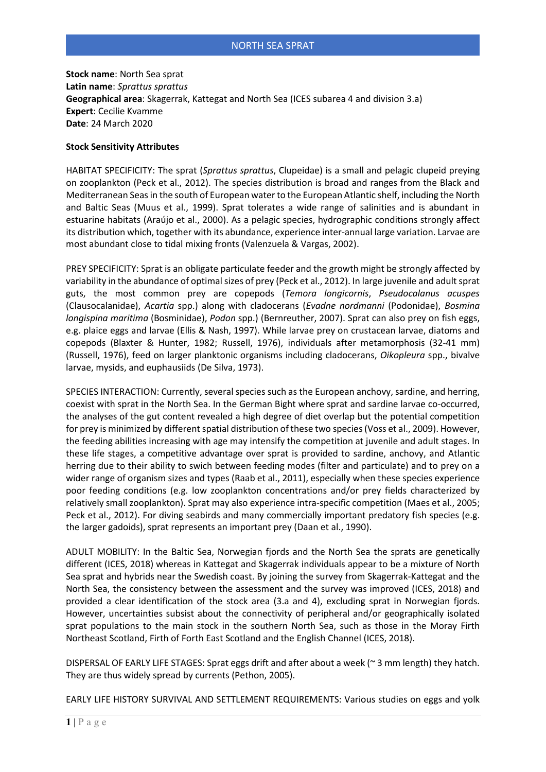**Stock name**: North Sea sprat **Latin name**: *Sprattus sprattus* **Geographical area**: Skagerrak, Kattegat and North Sea (ICES subarea 4 and division 3.a) **Expert**: Cecilie Kvamme **Date**: 24 March 2020

## **Stock Sensitivity Attributes**

HABITAT SPECIFICITY: The sprat (*Sprattus sprattus*, Clupeidae) is a small and pelagic clupeid preying on zooplankton (Peck et al., 2012). The species distribution is broad and ranges from the Black and Mediterranean Seas in the south of European water to the European Atlantic shelf, including the North and Baltic Seas (Muus et al., 1999). Sprat tolerates a wide range of salinities and is abundant in estuarine habitats (Araújo et al., 2000). As a pelagic species, hydrographic conditions strongly affect its distribution which, together with its abundance, experience inter-annual large variation. Larvae are most abundant close to tidal mixing fronts (Valenzuela & Vargas, 2002).

PREY SPECIFICITY: Sprat is an obligate particulate feeder and the growth might be strongly affected by variability in the abundance of optimal sizes of prey (Peck et al., 2012). In large juvenile and adult sprat guts, the most common prey are copepods (*Temora longicornis*, *Pseudocalanus acuspes*  (Clausocalanidae), *Acartia* spp.) along with cladocerans (*Evadne nordmanni* (Podonidae), *Bosmina longispina maritima* (Bosminidae), *Podon* spp.) (Bernreuther, 2007). Sprat can also prey on fish eggs, e.g. plaice eggs and larvae (Ellis & Nash, 1997). While larvae prey on crustacean larvae, diatoms and copepods (Blaxter & Hunter, 1982; Russell, 1976), individuals after metamorphosis (32-41 mm) (Russell, 1976), feed on larger planktonic organisms including cladocerans, *Oikopleura* spp., bivalve larvae, mysids, and euphausiids (De Silva, 1973).

SPECIES INTERACTION: Currently, several species such as the European anchovy, sardine, and herring, coexist with sprat in the North Sea. In the German Bight where sprat and sardine larvae co-occurred, the analyses of the gut content revealed a high degree of diet overlap but the potential competition for prey is minimized by different spatial distribution of these two species (Voss et al., 2009). However, the feeding abilities increasing with age may intensify the competition at juvenile and adult stages. In these life stages, a competitive advantage over sprat is provided to sardine, anchovy, and Atlantic herring due to their ability to swich between feeding modes (filter and particulate) and to prey on a wider range of organism sizes and types (Raab et al., 2011), especially when these species experience poor feeding conditions (e.g. low zooplankton concentrations and/or prey fields characterized by relatively small zooplankton). Sprat may also experience intra-specific competition (Maes et al., 2005; Peck et al., 2012). For diving seabirds and many commercially important predatory fish species (e.g. the larger gadoids), sprat represents an important prey (Daan et al., 1990).

ADULT MOBILITY: In the Baltic Sea, Norwegian fjords and the North Sea the sprats are genetically different (ICES, 2018) whereas in Kattegat and Skagerrak individuals appear to be a mixture of North Sea sprat and hybrids near the Swedish coast. By joining the survey from Skagerrak-Kattegat and the North Sea, the consistency between the assessment and the survey was improved (ICES, 2018) and provided a clear identification of the stock area (3.a and 4), excluding sprat in Norwegian fjords. However, uncertainties subsist about the connectivity of peripheral and/or geographically isolated sprat populations to the main stock in the southern North Sea, such as those in the Moray Firth Northeast Scotland, Firth of Forth East Scotland and the English Channel (ICES, 2018).

DISPERSAL OF EARLY LIFE STAGES: Sprat eggs drift and after about a week (~ 3 mm length) they hatch. They are thus widely spread by currents (Pethon, 2005).

EARLY LIFE HISTORY SURVIVAL AND SETTLEMENT REQUIREMENTS: Various studies on eggs and yolk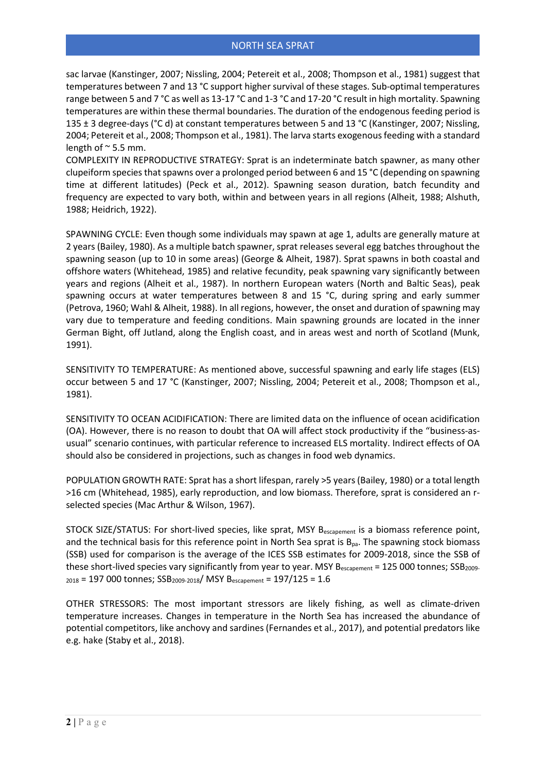sac larvae (Kanstinger, 2007; Nissling, 2004; Petereit et al., 2008; Thompson et al., 1981) suggest that temperatures between 7 and 13 °C support higher survival of these stages. Sub-optimal temperatures range between 5 and 7 °C as well as 13-17 °C and 1-3 °C and 17-20 °C result in high mortality. Spawning temperatures are within these thermal boundaries. The duration of the endogenous feeding period is 135 ± 3 degree-days (°C d) at constant temperatures between 5 and 13 °C (Kanstinger, 2007; Nissling, 2004; Petereit et al., 2008; Thompson et al., 1981). The larva starts exogenous feeding with a standard length of  $\approx$  5.5 mm.

COMPLEXITY IN REPRODUCTIVE STRATEGY: Sprat is an indeterminate batch spawner, as many other clupeiform species that spawns over a prolonged period between 6 and 15 °C (depending on spawning time at different latitudes) (Peck et al., 2012). Spawning season duration, batch fecundity and frequency are expected to vary both, within and between years in all regions (Alheit, 1988; Alshuth, 1988; Heidrich, 1922).

SPAWNING CYCLE: Even though some individuals may spawn at age 1, adults are generally mature at 2 years (Bailey, 1980). As a multiple batch spawner, sprat releases several egg batches throughout the spawning season (up to 10 in some areas) (George & Alheit, 1987). Sprat spawns in both coastal and offshore waters (Whitehead, 1985) and relative fecundity, peak spawning vary significantly between years and regions (Alheit et al., 1987). In northern European waters (North and Baltic Seas), peak spawning occurs at water temperatures between 8 and 15 °C, during spring and early summer (Petrova, 1960; Wahl & Alheit, 1988). In all regions, however, the onset and duration of spawning may vary due to temperature and feeding conditions. Main spawning grounds are located in the inner German Bight, off Jutland, along the English coast, and in areas west and north of Scotland (Munk, 1991).

SENSITIVITY TO TEMPERATURE: As mentioned above, successful spawning and early life stages (ELS) occur between 5 and 17 °C (Kanstinger, 2007; Nissling, 2004; Petereit et al., 2008; Thompson et al., 1981).

SENSITIVITY TO OCEAN ACIDIFICATION: There are limited data on the influence of ocean acidification (OA). However, there is no reason to doubt that OA will affect stock productivity if the "business-asusual" scenario continues, with particular reference to increased ELS mortality. Indirect effects of OA should also be considered in projections, such as changes in food web dynamics.

POPULATION GROWTH RATE: Sprat has a short lifespan, rarely >5 years (Bailey, 1980) or a total length >16 cm (Whitehead, 1985), early reproduction, and low biomass. Therefore, sprat is considered an rselected species (Mac Arthur & Wilson, 1967).

STOCK SIZE/STATUS: For short-lived species, like sprat, MSY Bescapement is a biomass reference point, and the technical basis for this reference point in North Sea sprat is  $B_{\text{pa}}$ . The spawning stock biomass (SSB) used for comparison is the average of the ICES SSB estimates for 2009-2018, since the SSB of these short-lived species vary significantly from year to year. MSY  $B_{\text{escapement}} = 125\,000$  tonnes; SSB<sub>2009-</sub>  $_{2018}$  = 197 000 tonnes; SSB<sub>2009-2018</sub>/ MSY B<sub>escapement</sub> = 197/125 = 1.6

OTHER STRESSORS: The most important stressors are likely fishing, as well as climate-driven temperature increases. Changes in temperature in the North Sea has increased the abundance of potential competitors, like anchovy and sardines (Fernandes et al., 2017), and potential predators like e.g. hake (Staby et al., 2018).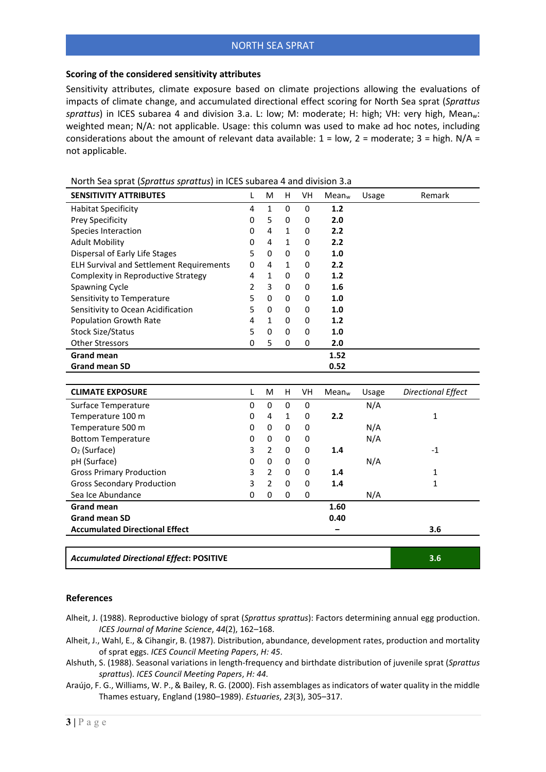## **Scoring of the considered sensitivity attributes**

Sensitivity attributes, climate exposure based on climate projections allowing the evaluations of impacts of climate change, and accumulated directional effect scoring for North Sea sprat (*Sprattus*  sprattus) in ICES subarea 4 and division 3.a. L: low; M: moderate; H: high; VH: very high, Mean<sub>w</sub>: weighted mean; N/A: not applicable. Usage: this column was used to make ad hoc notes, including considerations about the amount of relevant data available:  $1 = low$ ,  $2 = moderate$ ;  $3 = high$ .  $N/A =$ not applicable.

| <b>SENSITIVITY ATTRIBUTES</b>                   | L              | M              | H            | VH | Mean <sub>w</sub> | Usage | Remark                    |
|-------------------------------------------------|----------------|----------------|--------------|----|-------------------|-------|---------------------------|
| <b>Habitat Specificity</b>                      | 4              | $\mathbf{1}$   | 0            | 0  | 1.2               |       |                           |
| Prey Specificity                                | 0              | 5              | $\mathbf 0$  | 0  | 2.0               |       |                           |
| Species Interaction                             | 0              | 4              | $\mathbf{1}$ | 0  | 2.2               |       |                           |
| <b>Adult Mobility</b>                           | 0              | 4              | $\mathbf{1}$ | 0  | 2.2               |       |                           |
| Dispersal of Early Life Stages                  | 5              | 0              | $\mathbf 0$  | 0  | 1.0               |       |                           |
| <b>ELH Survival and Settlement Requirements</b> | $\Omega$       | 4              | $\mathbf{1}$ | 0  | 2.2               |       |                           |
| Complexity in Reproductive Strategy             | 4              | $\mathbf{1}$   | 0            | 0  | 1.2               |       |                           |
| <b>Spawning Cycle</b>                           | $\overline{2}$ | 3              | $\mathbf 0$  | 0  | 1.6               |       |                           |
| Sensitivity to Temperature                      | 5              | 0              | 0            | 0  | 1.0               |       |                           |
| Sensitivity to Ocean Acidification              | 5              | 0              | 0            | 0  | 1.0               |       |                           |
| <b>Population Growth Rate</b>                   | 4              | $\mathbf{1}$   | 0            | 0  | 1.2               |       |                           |
| <b>Stock Size/Status</b>                        | 5              | $\Omega$       | 0            | 0  | 1.0               |       |                           |
| <b>Other Stressors</b>                          | 0              | 5              | 0            | 0  | 2.0               |       |                           |
| <b>Grand mean</b>                               |                |                |              |    | 1.52              |       |                           |
| <b>Grand mean SD</b>                            |                |                |              |    | 0.52              |       |                           |
|                                                 |                |                |              |    |                   |       |                           |
| <b>CLIMATE EXPOSURE</b>                         | L              | M              | H            | VH | Mean <sub>w</sub> | Usage | <b>Directional Effect</b> |
| Surface Temperature                             | 0              | 0              | $\mathbf 0$  | 0  |                   | N/A   |                           |
| Temperature 100 m                               | 0              | 4              | 1            | 0  | 2.2               |       | 1                         |
| Temperature 500 m                               | 0              | 0              | 0            | 0  |                   | N/A   |                           |
| <b>Bottom Temperature</b>                       | 0              | 0              | 0            | 0  |                   | N/A   |                           |
| $O2$ (Surface)                                  | 3              | $\overline{2}$ | 0            | 0  | 1.4               |       | $-1$                      |
| pH (Surface)                                    | 0              | 0              | 0            | 0  |                   | N/A   |                           |
| <b>Gross Primary Production</b>                 | 3              | $\overline{2}$ | $\mathbf 0$  | 0  | 1.4               |       | $\mathbf{1}$              |
| <b>Gross Secondary Production</b>               | 3              | $\overline{2}$ | $\mathbf 0$  | 0  | 1.4               |       | 1                         |
| Sea Ice Abundance                               | 0              | 0              | 0            | 0  |                   | N/A   |                           |
| <b>Grand mean</b>                               |                |                |              |    | 1.60              |       |                           |
| <b>Grand mean SD</b>                            |                |                |              |    | 0.40              |       |                           |
| <b>Accumulated Directional Effect</b>           |                |                |              |    |                   |       | 3.6                       |
|                                                 |                |                |              |    |                   |       |                           |
| <b>Accumulated Directional Effect: POSITIVE</b> |                |                |              |    |                   |       | 3.6                       |

North Sea sprat (*Sprattus sprattus*) in ICES subarea 4 and division 3.a

## **References**

- Alheit, J. (1988). Reproductive biology of sprat (*Sprattus sprattus*): Factors determining annual egg production. *ICES Journal of Marine Science*, *44*(2), 162–168.
- Alheit, J., Wahl, E., & Cihangir, B. (1987). Distribution, abundance, development rates, production and mortality of sprat eggs. *ICES Council Meeting Papers*, *H: 45*.
- Alshuth, S. (1988). Seasonal variations in length-frequency and birthdate distribution of juvenile sprat (*Sprattus sprattus*). *ICES Council Meeting Papers*, *H: 44*.
- Araújo, F. G., Williams, W. P., & Bailey, R. G. (2000). Fish assemblages as indicators of water quality in the middle Thames estuary, England (1980–1989). *Estuaries*, *23*(3), 305–317.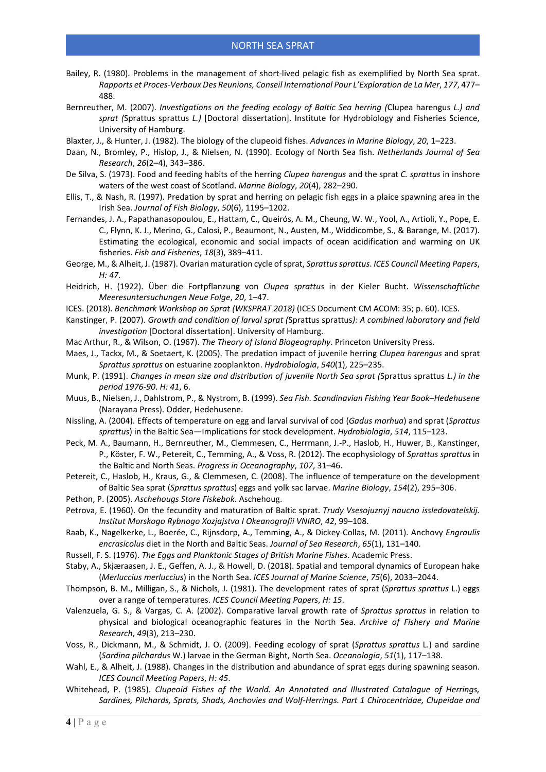- Bailey, R. (1980). Problems in the management of short-lived pelagic fish as exemplified by North Sea sprat. *Rapports et Proces-Verbaux Des Reunions, Conseil International Pour L'Exploration de La Mer*, *177*, 477– 488.
- Bernreuther, M. (2007). *Investigations on the feeding ecology of Baltic Sea herring (*Clupea harengus *L.) and sprat (*Sprattus sprattus *L.)* [Doctoral dissertation]. Institute for Hydrobiology and Fisheries Science, University of Hamburg.
- Blaxter, J., & Hunter, J. (1982). The biology of the clupeoid fishes. *Advances in Marine Biology*, *20*, 1–223.
- Daan, N., Bromley, P., Hislop, J., & Nielsen, N. (1990). Ecology of North Sea fish. *Netherlands Journal of Sea Research*, *26*(2–4), 343–386.
- De Silva, S. (1973). Food and feeding habits of the herring *Clupea harengus* and the sprat *C. sprattus* in inshore waters of the west coast of Scotland. *Marine Biology*, *20*(4), 282–290.
- Ellis, T., & Nash, R. (1997). Predation by sprat and herring on pelagic fish eggs in a plaice spawning area in the Irish Sea. *Journal of Fish Biology*, *50*(6), 1195–1202.
- Fernandes, J. A., Papathanasopoulou, E., Hattam, C., Queirós, A. M., Cheung, W. W., Yool, A., Artioli, Y., Pope, E. C., Flynn, K. J., Merino, G., Calosi, P., Beaumont, N., Austen, M., Widdicombe, S., & Barange, M. (2017). Estimating the ecological, economic and social impacts of ocean acidification and warming on UK fisheries. *Fish and Fisheries*, *18*(3), 389–411.
- George, M., & Alheit, J. (1987). Ovarian maturation cycle of sprat, *Sprattus sprattus*. *ICES Council Meeting Papers*, *H: 47*.
- Heidrich, H. (1922). Über die Fortpflanzung von *Clupea sprattus* in der Kieler Bucht. *Wissenschaftliche Meeresuntersuchungen Neue Folge*, *20*, 1–47.
- ICES. (2018). *Benchmark Workshop on Sprat (WKSPRAT 2018)* (ICES Document CM ACOM: 35; p. 60). ICES.
- Kanstinger, P. (2007). *Growth and condition of larval sprat (*Sprattus sprattus*): A combined laboratory and field investigation* [Doctoral dissertation]. University of Hamburg.
- Mac Arthur, R., & Wilson, O. (1967). *The Theory of Island Biogeography*. Princeton University Press.
- Maes, J., Tackx, M., & Soetaert, K. (2005). The predation impact of juvenile herring *Clupea harengus* and sprat *Sprattus sprattus* on estuarine zooplankton. *Hydrobiologia*, *540*(1), 225–235.
- Munk, P. (1991). *Changes in mean size and distribution of juvenile North Sea sprat (*Sprattus sprattus *L.) in the period 1976-90*. *H: 41*, 6.
- Muus, B., Nielsen, J., Dahlstrom, P., & Nystrom, B. (1999). *Sea Fish. Scandinavian Fishing Year Book–Hedehusene* (Narayana Press). Odder, Hedehusene.
- Nissling, A. (2004). Effects of temperature on egg and larval survival of cod (*Gadus morhua*) and sprat (*Sprattus sprattus*) in the Baltic Sea—Implications for stock development. *Hydrobiologia*, *514*, 115–123.
- Peck, M. A., Baumann, H., Bernreuther, M., Clemmesen, C., Herrmann, J.-P., Haslob, H., Huwer, B., Kanstinger, P., Köster, F. W., Petereit, C., Temming, A., & Voss, R. (2012). The ecophysiology of *Sprattus sprattus* in the Baltic and North Seas. *Progress in Oceanography*, *107*, 31–46.
- Petereit, C., Haslob, H., Kraus, G., & Clemmesen, C. (2008). The influence of temperature on the development of Baltic Sea sprat (*Sprattus sprattus*) eggs and yolk sac larvae. *Marine Biology*, *154*(2), 295–306.
- Pethon, P. (2005). *Aschehougs Store Fiskebok*. Aschehoug.
- Petrova, E. (1960). On the fecundity and maturation of Baltic sprat. *Trudy Vsesojuznyj naucno issledovatelskij. Institut Morskogo Rybnogo Xozjajstva I Okeanografii VNIRO*, *42*, 99–108.
- Raab, K., Nagelkerke, L., Boerée, C., Rijnsdorp, A., Temming, A., & Dickey-Collas, M. (2011). Anchovy *Engraulis encrasicolus* diet in the North and Baltic Seas. *Journal of Sea Research*, *65*(1), 131–140.
- Russell, F. S. (1976). *The Eggs and Planktonic Stages of British Marine Fishes*. Academic Press.
- Staby, A., Skjæraasen, J. E., Geffen, A. J., & Howell, D. (2018). Spatial and temporal dynamics of European hake (*Merluccius merluccius*) in the North Sea. *ICES Journal of Marine Science*, *75*(6), 2033–2044.
- Thompson, B. M., Milligan, S., & Nichols, J. (1981). The development rates of sprat (*Sprattus sprattus* L.) eggs over a range of temperatures. *ICES Council Meeting Papers*, *H: 15*.
- Valenzuela, G. S., & Vargas, C. A. (2002). Comparative larval growth rate of *Sprattus sprattus* in relation to physical and biological oceanographic features in the North Sea. *Archive of Fishery and Marine Research*, *49*(3), 213–230.
- Voss, R., Dickmann, M., & Schmidt, J. O. (2009). Feeding ecology of sprat (*Sprattus sprattus* L.) and sardine (*Sardina pilchardus* W.) larvae in the German Bight, North Sea. *Oceanologia*, *51*(1), 117–138.
- Wahl, E., & Alheit, J. (1988). Changes in the distribution and abundance of sprat eggs during spawning season. *ICES Council Meeting Papers*, *H: 45*.
- Whitehead, P. (1985). *Clupeoid Fishes of the World. An Annotated and Illustrated Catalogue of Herrings, Sardines, Pilchards, Sprats, Shads, Anchovies and Wolf-Herrings. Part 1 Chirocentridae, Clupeidae and*